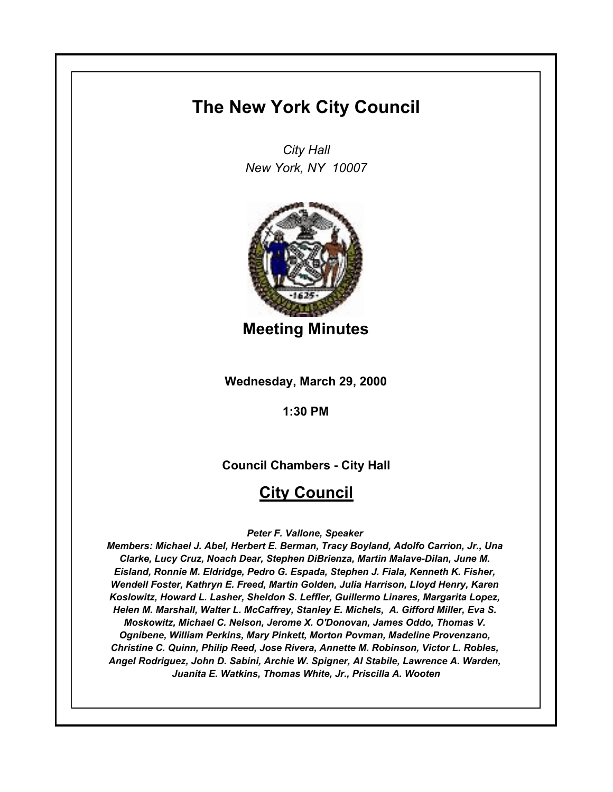# **The New York City Council**

*City Hall New York, NY 10007*



**Meeting Minutes**

**Wednesday, March 29, 2000**

**1:30 PM**

**Council Chambers - City Hall**

# **City Council**

*Peter F. Vallone, Speaker* 

*Members: Michael J. Abel, Herbert E. Berman, Tracy Boyland, Adolfo Carrion, Jr., Una Clarke, Lucy Cruz, Noach Dear, Stephen DiBrienza, Martin Malave-Dilan, June M. Eisland, Ronnie M. Eldridge, Pedro G. Espada, Stephen J. Fiala, Kenneth K. Fisher, Wendell Foster, Kathryn E. Freed, Martin Golden, Julia Harrison, Lloyd Henry, Karen Koslowitz, Howard L. Lasher, Sheldon S. Leffler, Guillermo Linares, Margarita Lopez, Helen M. Marshall, Walter L. McCaffrey, Stanley E. Michels, A. Gifford Miller, Eva S. Moskowitz, Michael C. Nelson, Jerome X. O'Donovan, James Oddo, Thomas V. Ognibene, William Perkins, Mary Pinkett, Morton Povman, Madeline Provenzano, Christine C. Quinn, Philip Reed, Jose Rivera, Annette M. Robinson, Victor L. Robles, Angel Rodriguez, John D. Sabini, Archie W. Spigner, Al Stabile, Lawrence A. Warden, Juanita E. Watkins, Thomas White, Jr., Priscilla A. Wooten*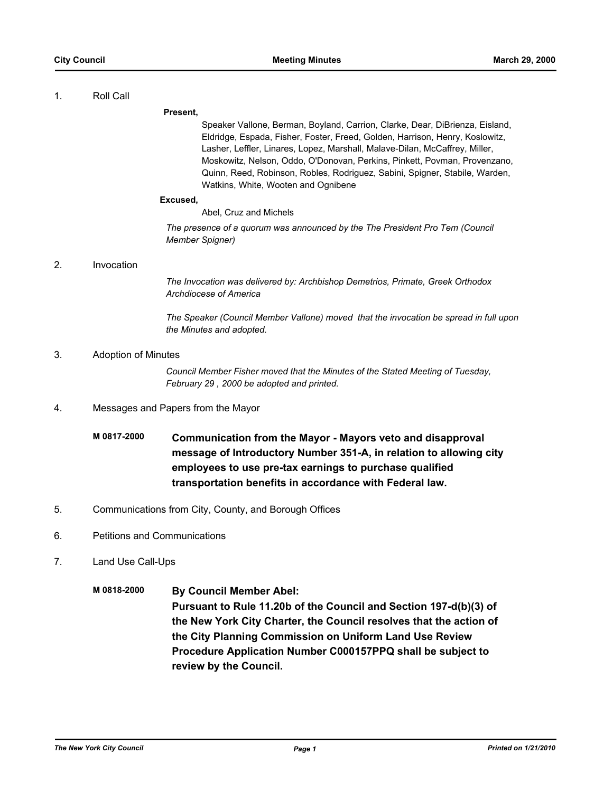#### 1. Roll Call

**Present,**

Speaker Vallone, Berman, Boyland, Carrion, Clarke, Dear, DiBrienza, Eisland, Eldridge, Espada, Fisher, Foster, Freed, Golden, Harrison, Henry, Koslowitz, Lasher, Leffler, Linares, Lopez, Marshall, Malave-Dilan, McCaffrey, Miller, Moskowitz, Nelson, Oddo, O'Donovan, Perkins, Pinkett, Povman, Provenzano, Quinn, Reed, Robinson, Robles, Rodriguez, Sabini, Spigner, Stabile, Warden, Watkins, White, Wooten and Ognibene

#### **Excused,**

Abel, Cruz and Michels

*The presence of a quorum was announced by the The President Pro Tem (Council Member Spigner)*

### 2. Invocation

*The Invocation was delivered by: Archbishop Demetrios, Primate, Greek Orthodox Archdiocese of America*

*The Speaker (Council Member Vallone) moved that the invocation be spread in full upon the Minutes and adopted.*

### 3. Adoption of Minutes

*Council Member Fisher moved that the Minutes of the Stated Meeting of Tuesday, February 29 , 2000 be adopted and printed.*

- 4. Messages and Papers from the Mayor
	- **M 0817-2000 Communication from the Mayor Mayors veto and disapproval message of Introductory Number 351-A, in relation to allowing city employees to use pre-tax earnings to purchase qualified transportation benefits in accordance with Federal law.**
- 5. Communications from City, County, and Borough Offices
- 6. Petitions and Communications
- 7. Land Use Call-Ups
	- **M 0818-2000 By Council Member Abel: Pursuant to Rule 11.20b of the Council and Section 197-d(b)(3) of the New York City Charter, the Council resolves that the action of the City Planning Commission on Uniform Land Use Review Procedure Application Number C000157PPQ shall be subject to review by the Council.**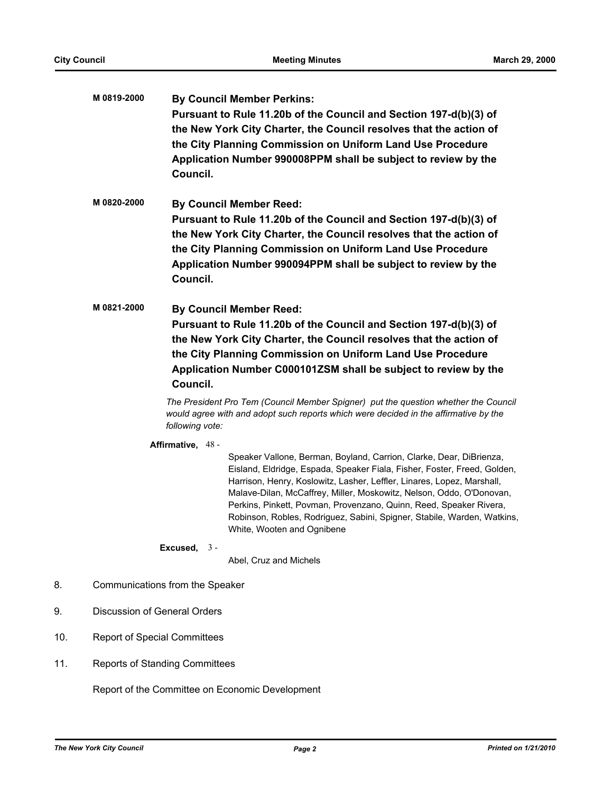|     | M 0819-2000                           | Council.                                                                                                                                                                                                                                                                                                                                                                                                                                                                                                                                                                                                                                        | <b>By Council Member Perkins:</b><br>Pursuant to Rule 11.20b of the Council and Section 197-d(b)(3) of<br>the New York City Charter, the Council resolves that the action of<br>the City Planning Commission on Uniform Land Use Procedure<br>Application Number 990008PPM shall be subject to review by the                                                                                                                                                                     |  |
|-----|---------------------------------------|-------------------------------------------------------------------------------------------------------------------------------------------------------------------------------------------------------------------------------------------------------------------------------------------------------------------------------------------------------------------------------------------------------------------------------------------------------------------------------------------------------------------------------------------------------------------------------------------------------------------------------------------------|----------------------------------------------------------------------------------------------------------------------------------------------------------------------------------------------------------------------------------------------------------------------------------------------------------------------------------------------------------------------------------------------------------------------------------------------------------------------------------|--|
|     | M0820-2000                            | <b>By Council Member Reed:</b><br>Pursuant to Rule 11.20b of the Council and Section 197-d(b)(3) of<br>the New York City Charter, the Council resolves that the action of<br>the City Planning Commission on Uniform Land Use Procedure<br>Application Number 990094PPM shall be subject to review by the<br>Council.<br><b>By Council Member Reed:</b><br>Pursuant to Rule 11.20b of the Council and Section 197-d(b)(3) of<br>the New York City Charter, the Council resolves that the action of<br>the City Planning Commission on Uniform Land Use Procedure<br>Application Number C000101ZSM shall be subject to review by the<br>Council. |                                                                                                                                                                                                                                                                                                                                                                                                                                                                                  |  |
|     | M 0821-2000                           |                                                                                                                                                                                                                                                                                                                                                                                                                                                                                                                                                                                                                                                 |                                                                                                                                                                                                                                                                                                                                                                                                                                                                                  |  |
|     |                                       | following vote:                                                                                                                                                                                                                                                                                                                                                                                                                                                                                                                                                                                                                                 | The President Pro Tem (Council Member Spigner) put the question whether the Council<br>would agree with and adopt such reports which were decided in the affirmative by the                                                                                                                                                                                                                                                                                                      |  |
|     |                                       | Affirmative, 48 -                                                                                                                                                                                                                                                                                                                                                                                                                                                                                                                                                                                                                               | Speaker Vallone, Berman, Boyland, Carrion, Clarke, Dear, DiBrienza,<br>Eisland, Eldridge, Espada, Speaker Fiala, Fisher, Foster, Freed, Golden,<br>Harrison, Henry, Koslowitz, Lasher, Leffler, Linares, Lopez, Marshall,<br>Malave-Dilan, McCaffrey, Miller, Moskowitz, Nelson, Oddo, O'Donovan,<br>Perkins, Pinkett, Povman, Provenzano, Quinn, Reed, Speaker Rivera,<br>Robinson, Robles, Rodriguez, Sabini, Spigner, Stabile, Warden, Watkins,<br>White, Wooten and Ognibene |  |
|     |                                       | Excused, $3 -$                                                                                                                                                                                                                                                                                                                                                                                                                                                                                                                                                                                                                                  | Abel, Cruz and Michels                                                                                                                                                                                                                                                                                                                                                                                                                                                           |  |
| 8.  |                                       | Communications from the Speaker                                                                                                                                                                                                                                                                                                                                                                                                                                                                                                                                                                                                                 |                                                                                                                                                                                                                                                                                                                                                                                                                                                                                  |  |
| 9.  |                                       | <b>Discussion of General Orders</b>                                                                                                                                                                                                                                                                                                                                                                                                                                                                                                                                                                                                             |                                                                                                                                                                                                                                                                                                                                                                                                                                                                                  |  |
| 10. |                                       | <b>Report of Special Committees</b>                                                                                                                                                                                                                                                                                                                                                                                                                                                                                                                                                                                                             |                                                                                                                                                                                                                                                                                                                                                                                                                                                                                  |  |
| 11. |                                       |                                                                                                                                                                                                                                                                                                                                                                                                                                                                                                                                                                                                                                                 |                                                                                                                                                                                                                                                                                                                                                                                                                                                                                  |  |
|     | <b>Reports of Standing Committees</b> |                                                                                                                                                                                                                                                                                                                                                                                                                                                                                                                                                                                                                                                 |                                                                                                                                                                                                                                                                                                                                                                                                                                                                                  |  |

Report of the Committee on Economic Development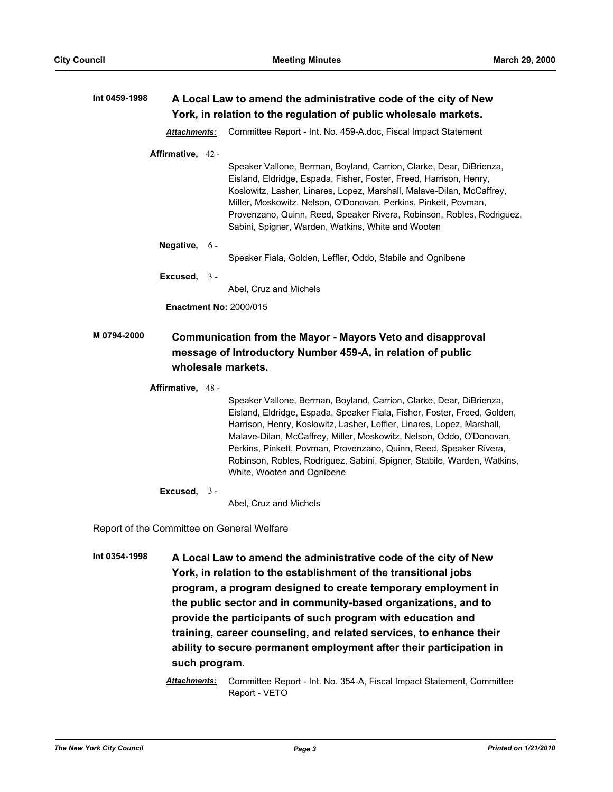| Int 0459-1998 | A Local Law to amend the administrative code of the city of New<br>York, in relation to the regulation of public wholesale markets. |  |                                                                                                                                                                                                                                                                                                                                                                                                                      |  |
|---------------|-------------------------------------------------------------------------------------------------------------------------------------|--|----------------------------------------------------------------------------------------------------------------------------------------------------------------------------------------------------------------------------------------------------------------------------------------------------------------------------------------------------------------------------------------------------------------------|--|
|               | <b>Attachments:</b>                                                                                                                 |  | Committee Report - Int. No. 459-A.doc, Fiscal Impact Statement                                                                                                                                                                                                                                                                                                                                                       |  |
|               | Affirmative, 42 -                                                                                                                   |  | Speaker Vallone, Berman, Boyland, Carrion, Clarke, Dear, DiBrienza,<br>Eisland, Eldridge, Espada, Fisher, Foster, Freed, Harrison, Henry,<br>Koslowitz, Lasher, Linares, Lopez, Marshall, Malave-Dilan, McCaffrey,<br>Miller, Moskowitz, Nelson, O'Donovan, Perkins, Pinkett, Povman,<br>Provenzano, Quinn, Reed, Speaker Rivera, Robinson, Robles, Rodriguez,<br>Sabini, Spigner, Warden, Watkins, White and Wooten |  |
|               | <b>Negative, <math>6 -</math></b>                                                                                                   |  | Speaker Fiala, Golden, Leffler, Oddo, Stabile and Ognibene                                                                                                                                                                                                                                                                                                                                                           |  |
|               | Excused, $3 -$                                                                                                                      |  | Abel, Cruz and Michels                                                                                                                                                                                                                                                                                                                                                                                               |  |
|               |                                                                                                                                     |  | <b>Enactment No: 2000/015</b>                                                                                                                                                                                                                                                                                                                                                                                        |  |
| M 0794-2000   |                                                                                                                                     |  | <b>Communication from the Mayor - Mayors Veto and disapproval</b><br>message of Introductory Number 459-A, in relation of public                                                                                                                                                                                                                                                                                     |  |

# **wholesale markets.**

### **Affirmative,** 48 -

Speaker Vallone, Berman, Boyland, Carrion, Clarke, Dear, DiBrienza, Eisland, Eldridge, Espada, Speaker Fiala, Fisher, Foster, Freed, Golden, Harrison, Henry, Koslowitz, Lasher, Leffler, Linares, Lopez, Marshall, Malave-Dilan, McCaffrey, Miller, Moskowitz, Nelson, Oddo, O'Donovan, Perkins, Pinkett, Povman, Provenzano, Quinn, Reed, Speaker Rivera, Robinson, Robles, Rodriguez, Sabini, Spigner, Stabile, Warden, Watkins, White, Wooten and Ognibene

**Excused,** 3 -

Abel, Cruz and Michels

Report of the Committee on General Welfare

**Int 0354-1998 A Local Law to amend the administrative code of the city of New York, in relation to the establishment of the transitional jobs program, a program designed to create temporary employment in the public sector and in community-based organizations, and to provide the participants of such program with education and training, career counseling, and related services, to enhance their ability to secure permanent employment after their participation in such program.**

> *Attachments:* Committee Report - Int. No. 354-A, Fiscal Impact Statement, Committee Report - VETO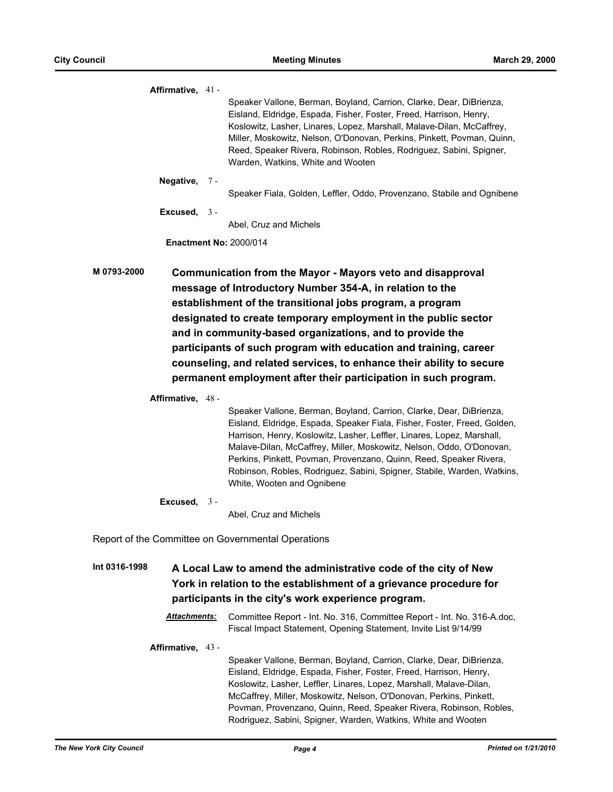| Affirmative, 41 -                                                                                                         |  |                                                                                                                                                    |
|---------------------------------------------------------------------------------------------------------------------------|--|----------------------------------------------------------------------------------------------------------------------------------------------------|
|                                                                                                                           |  | Speaker Vallone, Berman, Boyland, Carrion, Clarke, Dear, DiBrienza,                                                                                |
|                                                                                                                           |  | Eisland, Eldridge, Espada, Fisher, Foster, Freed, Harrison, Henry,<br>Koslowitz, Lasher, Linares, Lopez, Marshall, Malave-Dilan, McCaffrey,        |
|                                                                                                                           |  | Miller, Moskowitz, Nelson, O'Donovan, Perkins, Pinkett, Povman, Quinn,                                                                             |
|                                                                                                                           |  | Reed, Speaker Rivera, Robinson, Robles, Rodriguez, Sabini, Spigner,                                                                                |
|                                                                                                                           |  | Warden, Watkins, White and Wooten                                                                                                                  |
| Negative, 7-                                                                                                              |  |                                                                                                                                                    |
|                                                                                                                           |  | Speaker Fiala, Golden, Leffler, Oddo, Provenzano, Stabile and Ognibene                                                                             |
| Excused, $3 -$                                                                                                            |  |                                                                                                                                                    |
|                                                                                                                           |  | Abel, Cruz and Michels                                                                                                                             |
|                                                                                                                           |  | <b>Enactment No: 2000/014</b>                                                                                                                      |
| M 0793-2000                                                                                                               |  | Communication from the Mayor - Mayors veto and disapproval                                                                                         |
|                                                                                                                           |  | message of Introductory Number 354-A, in relation to the                                                                                           |
|                                                                                                                           |  | establishment of the transitional jobs program, a program                                                                                          |
|                                                                                                                           |  | designated to create temporary employment in the public sector                                                                                     |
|                                                                                                                           |  | and in community-based organizations, and to provide the                                                                                           |
|                                                                                                                           |  | participants of such program with education and training, career                                                                                   |
|                                                                                                                           |  | counseling, and related services, to enhance their ability to secure                                                                               |
|                                                                                                                           |  |                                                                                                                                                    |
|                                                                                                                           |  | permanent employment after their participation in such program.                                                                                    |
| Affirmative, 48 -                                                                                                         |  |                                                                                                                                                    |
|                                                                                                                           |  | Speaker Vallone, Berman, Boyland, Carrion, Clarke, Dear, DiBrienza,                                                                                |
|                                                                                                                           |  | Eisland, Eldridge, Espada, Speaker Fiala, Fisher, Foster, Freed, Golden,<br>Harrison, Henry, Koslowitz, Lasher, Leffler, Linares, Lopez, Marshall, |
|                                                                                                                           |  | Malave-Dilan, McCaffrey, Miller, Moskowitz, Nelson, Oddo, O'Donovan,                                                                               |
|                                                                                                                           |  | Perkins, Pinkett, Povman, Provenzano, Quinn, Reed, Speaker Rivera,                                                                                 |
|                                                                                                                           |  | Robinson, Robles, Rodriguez, Sabini, Spigner, Stabile, Warden, Watkins,                                                                            |
|                                                                                                                           |  | White, Wooten and Ognibene                                                                                                                         |
| Excused, $3 -$                                                                                                            |  |                                                                                                                                                    |
|                                                                                                                           |  | Abel, Cruz and Michels                                                                                                                             |
| Report of the Committee on Governmental Operations                                                                        |  |                                                                                                                                                    |
| Int 0316-1998                                                                                                             |  | A Local Law to amend the administrative code of the city of New                                                                                    |
|                                                                                                                           |  |                                                                                                                                                    |
| York in relation to the establishment of a grievance procedure for<br>participants in the city's work experience program. |  |                                                                                                                                                    |
|                                                                                                                           |  |                                                                                                                                                    |
| Attachments:                                                                                                              |  | Committee Report - Int. No. 316, Committee Report - Int. No. 316-A.doc,<br>Fiscal Impact Statement, Opening Statement, Invite List 9/14/99         |
| Affirmative, 43 -                                                                                                         |  |                                                                                                                                                    |
|                                                                                                                           |  | Speaker Vallone, Berman, Boyland, Carrion, Clarke, Dear, DiBrienza,                                                                                |
|                                                                                                                           |  | Eisland, Eldridge, Espada, Fisher, Foster, Freed, Harrison, Henry,                                                                                 |
|                                                                                                                           |  | Koslowitz, Lasher, Leffler, Linares, Lopez, Marshall, Malave-Dilan,                                                                                |
|                                                                                                                           |  | McCaffrey, Miller, Moskowitz, Nelson, O'Donovan, Perkins, Pinkett,                                                                                 |

Povman, Provenzano, Quinn, Reed, Speaker Rivera, Robinson, Robles, Rodriguez, Sabini, Spigner, Warden, Watkins, White and Wooten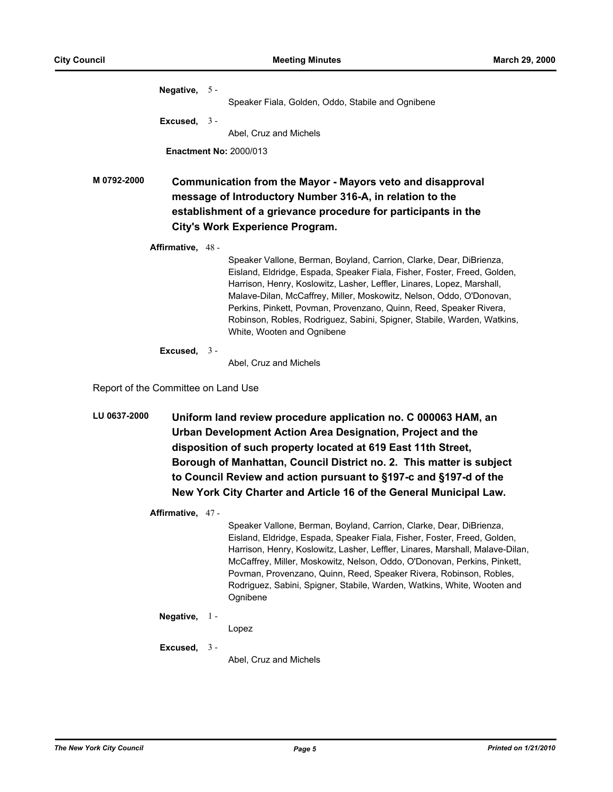|                                                                                                                                                                                                                                            |  | Speaker Fiala, Golden, Oddo, Stabile and Ognibene                                                                                                                                                                                                                                                                                                                                                                                                                                |
|--------------------------------------------------------------------------------------------------------------------------------------------------------------------------------------------------------------------------------------------|--|----------------------------------------------------------------------------------------------------------------------------------------------------------------------------------------------------------------------------------------------------------------------------------------------------------------------------------------------------------------------------------------------------------------------------------------------------------------------------------|
|                                                                                                                                                                                                                                            |  |                                                                                                                                                                                                                                                                                                                                                                                                                                                                                  |
|                                                                                                                                                                                                                                            |  | Abel, Cruz and Michels                                                                                                                                                                                                                                                                                                                                                                                                                                                           |
|                                                                                                                                                                                                                                            |  |                                                                                                                                                                                                                                                                                                                                                                                                                                                                                  |
| M 0792-2000<br>Communication from the Mayor - Mayors veto and disapproval<br>message of Introductory Number 316-A, in relation to the<br>establishment of a grievance procedure for participants in the<br>City's Work Experience Program. |  |                                                                                                                                                                                                                                                                                                                                                                                                                                                                                  |
|                                                                                                                                                                                                                                            |  | Speaker Vallone, Berman, Boyland, Carrion, Clarke, Dear, DiBrienza,<br>Eisland, Eldridge, Espada, Speaker Fiala, Fisher, Foster, Freed, Golden,<br>Harrison, Henry, Koslowitz, Lasher, Leffler, Linares, Lopez, Marshall,<br>Malave-Dilan, McCaffrey, Miller, Moskowitz, Nelson, Oddo, O'Donovan,<br>Perkins, Pinkett, Povman, Provenzano, Quinn, Reed, Speaker Rivera,<br>Robinson, Robles, Rodriguez, Sabini, Spigner, Stabile, Warden, Watkins,<br>White, Wooten and Ognibene |
|                                                                                                                                                                                                                                            |  | Abel, Cruz and Michels                                                                                                                                                                                                                                                                                                                                                                                                                                                           |
|                                                                                                                                                                                                                                            |  | Negative, 5 -<br>Excused, $3 -$<br><b>Enactment No: 2000/013</b><br>Affirmative, 48 -<br>Excused, $3 -$                                                                                                                                                                                                                                                                                                                                                                          |

Report of the Committee on Land Use

**LU 0637-2000 Uniform land review procedure application no. C 000063 HAM, an Urban Development Action Area Designation, Project and the disposition of such property located at 619 East 11th Street, Borough of Manhattan, Council District no. 2. This matter is subject to Council Review and action pursuant to §197-c and §197-d of the New York City Charter and Article 16 of the General Municipal Law.**

**Affirmative,** 47 -

Speaker Vallone, Berman, Boyland, Carrion, Clarke, Dear, DiBrienza, Eisland, Eldridge, Espada, Speaker Fiala, Fisher, Foster, Freed, Golden, Harrison, Henry, Koslowitz, Lasher, Leffler, Linares, Marshall, Malave-Dilan, McCaffrey, Miller, Moskowitz, Nelson, Oddo, O'Donovan, Perkins, Pinkett, Povman, Provenzano, Quinn, Reed, Speaker Rivera, Robinson, Robles, Rodriguez, Sabini, Spigner, Stabile, Warden, Watkins, White, Wooten and Ognibene

#### **Negative,** 1 -

Lopez

**Excused,** 3 -

Abel, Cruz and Michels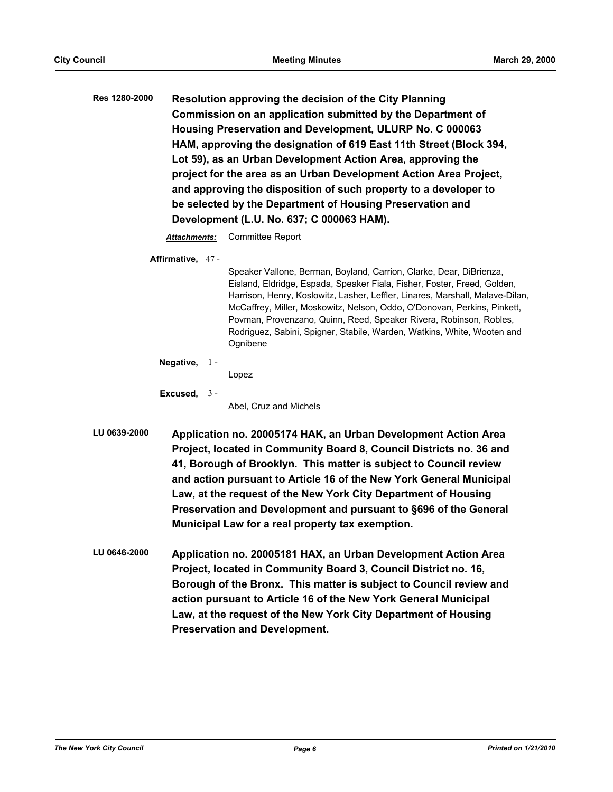**Res 1280-2000 Resolution approving the decision of the City Planning Commission on an application submitted by the Department of Housing Preservation and Development, ULURP No. C 000063 HAM, approving the designation of 619 East 11th Street (Block 394, Lot 59), as an Urban Development Action Area, approving the project for the area as an Urban Development Action Area Project, and approving the disposition of such property to a developer to be selected by the Department of Housing Preservation and Development (L.U. No. 637; C 000063 HAM).**

*Attachments:* Committee Report

**Affirmative,** 47 -

Speaker Vallone, Berman, Boyland, Carrion, Clarke, Dear, DiBrienza, Eisland, Eldridge, Espada, Speaker Fiala, Fisher, Foster, Freed, Golden, Harrison, Henry, Koslowitz, Lasher, Leffler, Linares, Marshall, Malave-Dilan, McCaffrey, Miller, Moskowitz, Nelson, Oddo, O'Donovan, Perkins, Pinkett, Povman, Provenzano, Quinn, Reed, Speaker Rivera, Robinson, Robles, Rodriguez, Sabini, Spigner, Stabile, Warden, Watkins, White, Wooten and **Ognibene** 

**Negative,** 1 -

Lopez

**Excused,** 3 -

Abel, Cruz and Michels

- **LU 0639-2000 Application no. 20005174 HAK, an Urban Development Action Area Project, located in Community Board 8, Council Districts no. 36 and 41, Borough of Brooklyn. This matter is subject to Council review and action pursuant to Article 16 of the New York General Municipal Law, at the request of the New York City Department of Housing Preservation and Development and pursuant to §696 of the General Municipal Law for a real property tax exemption.**
- **LU 0646-2000 Application no. 20005181 HAX, an Urban Development Action Area Project, located in Community Board 3, Council District no. 16, Borough of the Bronx. This matter is subject to Council review and action pursuant to Article 16 of the New York General Municipal Law, at the request of the New York City Department of Housing Preservation and Development.**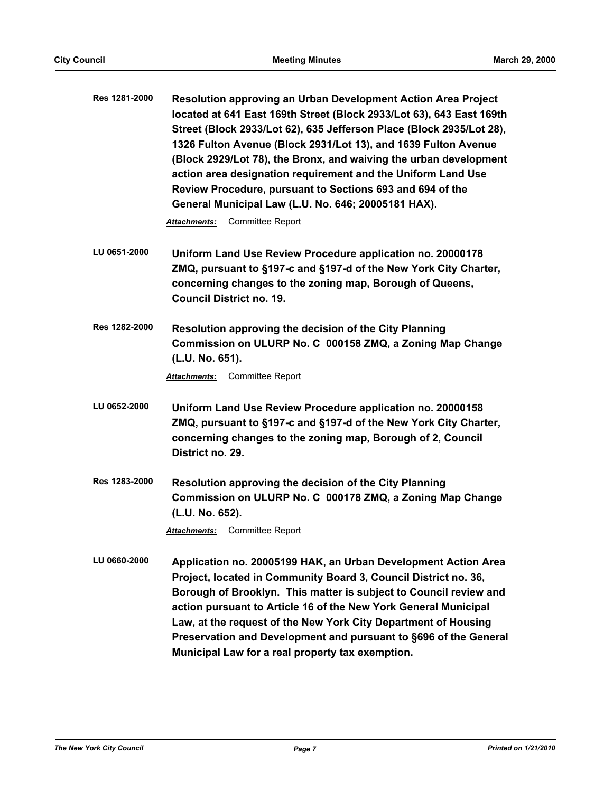**Res 1281-2000 Resolution approving an Urban Development Action Area Project located at 641 East 169th Street (Block 2933/Lot 63), 643 East 169th Street (Block 2933/Lot 62), 635 Jefferson Place (Block 2935/Lot 28), 1326 Fulton Avenue (Block 2931/Lot 13), and 1639 Fulton Avenue (Block 2929/Lot 78), the Bronx, and waiving the urban development action area designation requirement and the Uniform Land Use Review Procedure, pursuant to Sections 693 and 694 of the General Municipal Law (L.U. No. 646; 20005181 HAX).**

*Attachments:* Committee Report

- **LU 0651-2000 Uniform Land Use Review Procedure application no. 20000178 ZMQ, pursuant to §197-c and §197-d of the New York City Charter, concerning changes to the zoning map, Borough of Queens, Council District no. 19.**
- **Res 1282-2000 Resolution approving the decision of the City Planning Commission on ULURP No. C 000158 ZMQ, a Zoning Map Change (L.U. No. 651).**

*Attachments:* Committee Report

- **LU 0652-2000 Uniform Land Use Review Procedure application no. 20000158 ZMQ, pursuant to §197-c and §197-d of the New York City Charter, concerning changes to the zoning map, Borough of 2, Council District no. 29.**
- **Res 1283-2000 Resolution approving the decision of the City Planning Commission on ULURP No. C 000178 ZMQ, a Zoning Map Change (L.U. No. 652).**

*Attachments:* Committee Report

**LU 0660-2000 Application no. 20005199 HAK, an Urban Development Action Area Project, located in Community Board 3, Council District no. 36, Borough of Brooklyn. This matter is subject to Council review and action pursuant to Article 16 of the New York General Municipal Law, at the request of the New York City Department of Housing Preservation and Development and pursuant to §696 of the General Municipal Law for a real property tax exemption.**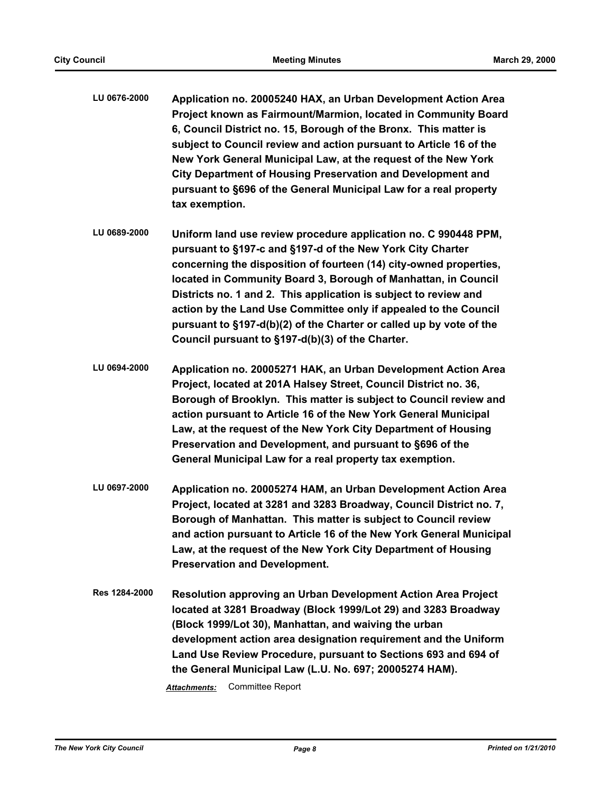- **LU 0676-2000 Application no. 20005240 HAX, an Urban Development Action Area Project known as Fairmount/Marmion, located in Community Board 6, Council District no. 15, Borough of the Bronx. This matter is subject to Council review and action pursuant to Article 16 of the New York General Municipal Law, at the request of the New York City Department of Housing Preservation and Development and pursuant to §696 of the General Municipal Law for a real property tax exemption.**
- **LU 0689-2000 Uniform land use review procedure application no. C 990448 PPM, pursuant to §197-c and §197-d of the New York City Charter concerning the disposition of fourteen (14) city-owned properties, located in Community Board 3, Borough of Manhattan, in Council Districts no. 1 and 2. This application is subject to review and action by the Land Use Committee only if appealed to the Council pursuant to §197-d(b)(2) of the Charter or called up by vote of the Council pursuant to §197-d(b)(3) of the Charter.**
- **LU 0694-2000 Application no. 20005271 HAK, an Urban Development Action Area Project, located at 201A Halsey Street, Council District no. 36, Borough of Brooklyn. This matter is subject to Council review and action pursuant to Article 16 of the New York General Municipal Law, at the request of the New York City Department of Housing Preservation and Development, and pursuant to §696 of the General Municipal Law for a real property tax exemption.**
- **LU 0697-2000 Application no. 20005274 HAM, an Urban Development Action Area Project, located at 3281 and 3283 Broadway, Council District no. 7, Borough of Manhattan. This matter is subject to Council review and action pursuant to Article 16 of the New York General Municipal Law, at the request of the New York City Department of Housing Preservation and Development.**
- **Res 1284-2000 Resolution approving an Urban Development Action Area Project located at 3281 Broadway (Block 1999/Lot 29) and 3283 Broadway (Block 1999/Lot 30), Manhattan, and waiving the urban development action area designation requirement and the Uniform Land Use Review Procedure, pursuant to Sections 693 and 694 of the General Municipal Law (L.U. No. 697; 20005274 HAM).**

*Attachments:* Committee Report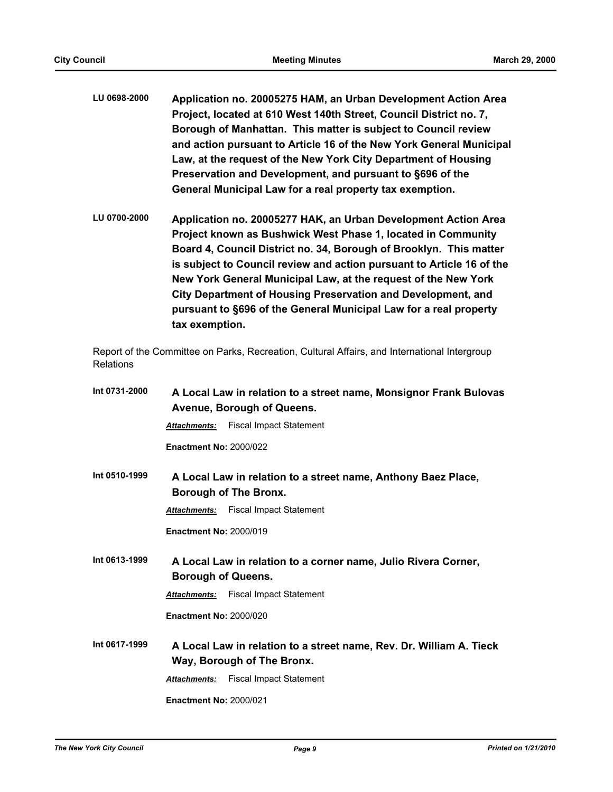- **LU 0698-2000 Application no. 20005275 HAM, an Urban Development Action Area Project, located at 610 West 140th Street, Council District no. 7, Borough of Manhattan. This matter is subject to Council review and action pursuant to Article 16 of the New York General Municipal Law, at the request of the New York City Department of Housing Preservation and Development, and pursuant to §696 of the General Municipal Law for a real property tax exemption.**
- **LU 0700-2000 Application no. 20005277 HAK, an Urban Development Action Area Project known as Bushwick West Phase 1, located in Community Board 4, Council District no. 34, Borough of Brooklyn. This matter is subject to Council review and action pursuant to Article 16 of the New York General Municipal Law, at the request of the New York City Department of Housing Preservation and Development, and pursuant to §696 of the General Municipal Law for a real property tax exemption.**

Report of the Committee on Parks, Recreation, Cultural Affairs, and International Intergroup **Relations** 

| Int 0731-2000 | A Local Law in relation to a street name, Monsignor Frank Bulovas                                 |  |  |
|---------------|---------------------------------------------------------------------------------------------------|--|--|
|               | Avenue, Borough of Queens.                                                                        |  |  |
|               | <b>Fiscal Impact Statement</b><br><b>Attachments:</b>                                             |  |  |
|               | <b>Enactment No: 2000/022</b>                                                                     |  |  |
| Int 0510-1999 | A Local Law in relation to a street name, Anthony Baez Place,<br><b>Borough of The Bronx.</b>     |  |  |
|               | <b>Fiscal Impact Statement</b><br><b>Attachments:</b>                                             |  |  |
|               | <b>Enactment No: 2000/019</b>                                                                     |  |  |
| Int 0613-1999 | A Local Law in relation to a corner name, Julio Rivera Corner,                                    |  |  |
|               | <b>Borough of Queens.</b>                                                                         |  |  |
|               | <b>Fiscal Impact Statement</b><br><b>Attachments:</b>                                             |  |  |
|               | <b>Enactment No: 2000/020</b>                                                                     |  |  |
| Int 0617-1999 | A Local Law in relation to a street name, Rev. Dr. William A. Tieck<br>Way, Borough of The Bronx. |  |  |
|               | <b>Fiscal Impact Statement</b><br><b>Attachments:</b>                                             |  |  |
|               | <b>Enactment No: 2000/021</b>                                                                     |  |  |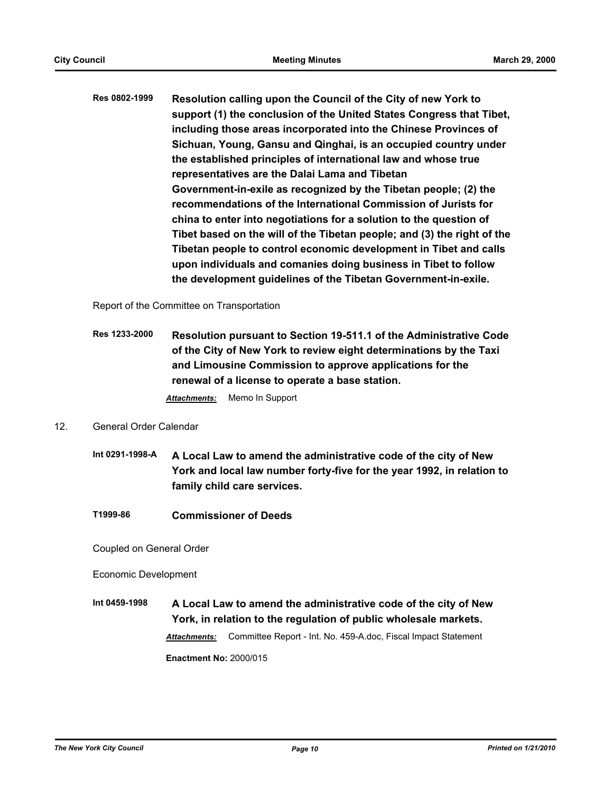**Res 0802-1999 Resolution calling upon the Council of the City of new York to support (1) the conclusion of the United States Congress that Tibet, including those areas incorporated into the Chinese Provinces of Sichuan, Young, Gansu and Qinghai, is an occupied country under the established principles of international law and whose true representatives are the Dalai Lama and Tibetan Government-in-exile as recognized by the Tibetan people; (2) the recommendations of the International Commission of Jurists for china to enter into negotiations for a solution to the question of Tibet based on the will of the Tibetan people; and (3) the right of the Tibetan people to control economic development in Tibet and calls upon individuals and comanies doing business in Tibet to follow the development guidelines of the Tibetan Government-in-exile.**

Report of the Committee on Transportation

**Res 1233-2000 Resolution pursuant to Section 19-511.1 of the Administrative Code of the City of New York to review eight determinations by the Taxi and Limousine Commission to approve applications for the renewal of a license to operate a base station.** *Attachments:* Memo In Support

### 12. General Order Calendar

- **Int 0291-1998-A A Local Law to amend the administrative code of the city of New York and local law number forty-five for the year 1992, in relation to family child care services.**
- **T1999-86 Commissioner of Deeds**

Coupled on General Order

Economic Development

**Int 0459-1998 A Local Law to amend the administrative code of the city of New York, in relation to the regulation of public wholesale markets.** *Attachments:* Committee Report - Int. No. 459-A.doc, Fiscal Impact Statement **Enactment No:** 2000/015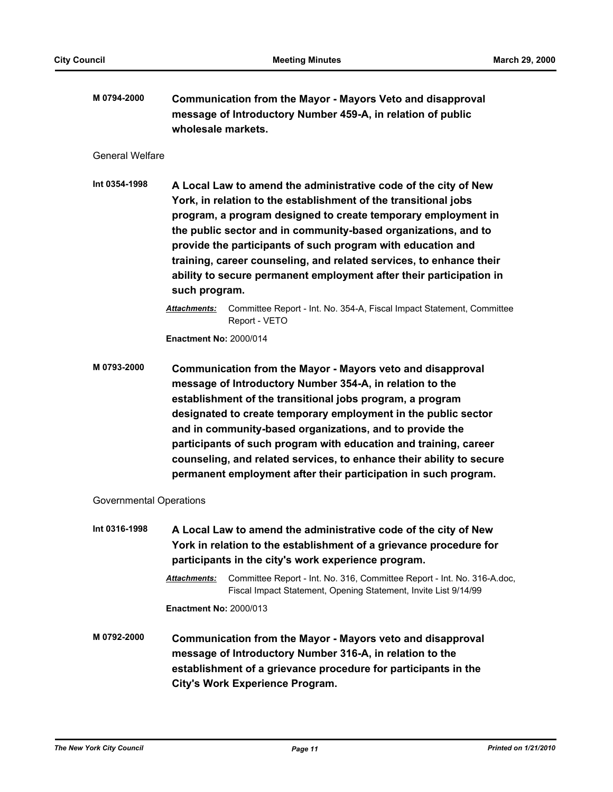**M 0794-2000 Communication from the Mayor - Mayors Veto and disapproval message of Introductory Number 459-A, in relation of public wholesale markets.**

#### General Welfare

**Int 0354-1998 A Local Law to amend the administrative code of the city of New York, in relation to the establishment of the transitional jobs program, a program designed to create temporary employment in the public sector and in community-based organizations, and to provide the participants of such program with education and training, career counseling, and related services, to enhance their ability to secure permanent employment after their participation in such program.**

> *Attachments:* Committee Report - Int. No. 354-A, Fiscal Impact Statement, Committee Report - VETO

**Enactment No:** 2000/014

**M 0793-2000 Communication from the Mayor - Mayors veto and disapproval message of Introductory Number 354-A, in relation to the establishment of the transitional jobs program, a program designated to create temporary employment in the public sector and in community-based organizations, and to provide the participants of such program with education and training, career counseling, and related services, to enhance their ability to secure permanent employment after their participation in such program.**

### Governmental Operations

**Int 0316-1998 A Local Law to amend the administrative code of the city of New York in relation to the establishment of a grievance procedure for participants in the city's work experience program.**

> *Attachments:* Committee Report - Int. No. 316, Committee Report - Int. No. 316-A.doc, Fiscal Impact Statement, Opening Statement, Invite List 9/14/99

**Enactment No:** 2000/013

**M 0792-2000 Communication from the Mayor - Mayors veto and disapproval message of Introductory Number 316-A, in relation to the establishment of a grievance procedure for participants in the City's Work Experience Program.**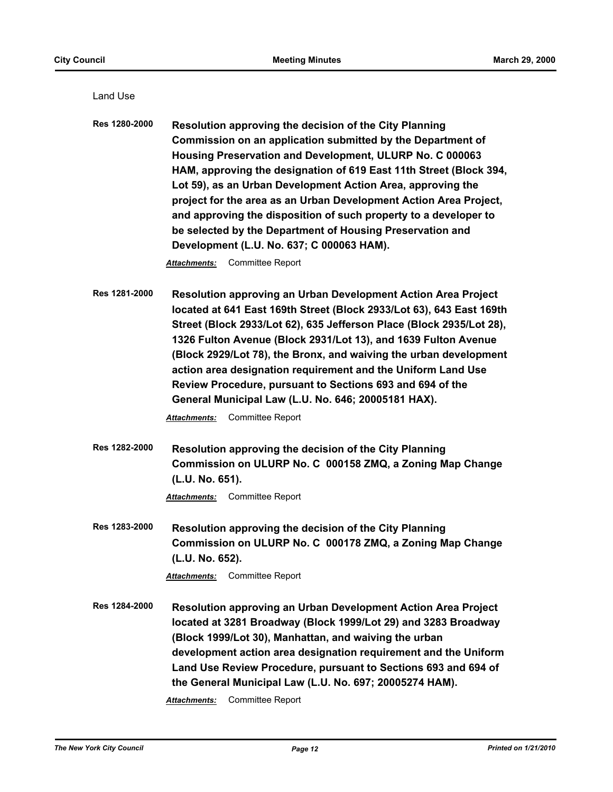| Land Use             |                                                                                                                                                                                                                                                                                                                                                                                                                                                                                                                                                                                                               |
|----------------------|---------------------------------------------------------------------------------------------------------------------------------------------------------------------------------------------------------------------------------------------------------------------------------------------------------------------------------------------------------------------------------------------------------------------------------------------------------------------------------------------------------------------------------------------------------------------------------------------------------------|
| Res 1280-2000        | Resolution approving the decision of the City Planning<br>Commission on an application submitted by the Department of<br>Housing Preservation and Development, ULURP No. C 000063<br>HAM, approving the designation of 619 East 11th Street (Block 394,<br>Lot 59), as an Urban Development Action Area, approving the<br>project for the area as an Urban Development Action Area Project,<br>and approving the disposition of such property to a developer to<br>be selected by the Department of Housing Preservation and<br>Development (L.U. No. 637; C 000063 HAM).<br>Committee Report<br>Attachments: |
| <b>Res 1281-2000</b> | <b>Resolution approving an Urban Development Action Area Project</b><br>located at 641 East 169th Street (Block 2933/Lot 63), 643 East 169th<br>Street (Block 2933/Lot 62), 635 Jefferson Place (Block 2935/Lot 28),<br>1326 Fulton Avenue (Block 2931/Lot 13), and 1639 Fulton Avenue<br>(Block 2929/Lot 78), the Bronx, and waiving the urban development<br>action area designation requirement and the Uniform Land Use<br>Review Procedure, pursuant to Sections 693 and 694 of the<br>General Municipal Law (L.U. No. 646; 20005181 HAX).<br>Committee Report<br>Attachments:                           |
| Res 1282-2000        | Resolution approving the decision of the City Planning<br>Commission on ULURP No. C 000158 ZMQ, a Zoning Map Change<br>(L.U. No. 651).<br><b>Committee Report</b><br><b>Attachments:</b>                                                                                                                                                                                                                                                                                                                                                                                                                      |
| Res 1283-2000        | <b>Resolution approving the decision of the City Planning</b><br>Commission on ULURP No. C 000178 ZMQ, a Zoning Map Change<br>(L.U. No. 652).<br>Committee Report<br>Attachments:                                                                                                                                                                                                                                                                                                                                                                                                                             |
| Res 1284-2000        | Resolution approving an Urban Development Action Area Project<br>located at 3281 Broadway (Block 1999/Lot 29) and 3283 Broadway<br>(Block 1999/Lot 30), Manhattan, and waiving the urban<br>development action area designation requirement and the Uniform<br>Land Use Review Procedure, pursuant to Sections 693 and 694 of<br>the General Municipal Law (L.U. No. 697; 20005274 HAM).<br>Committee Report<br>Attachments:                                                                                                                                                                                  |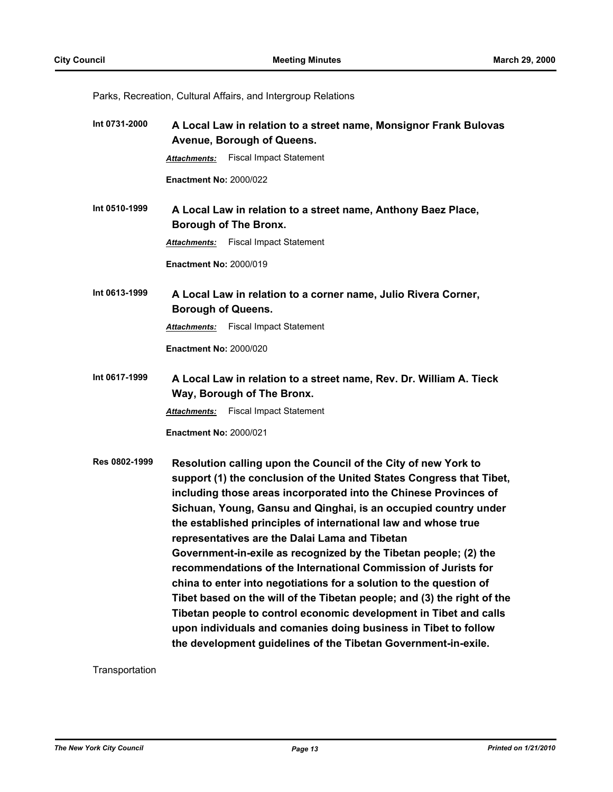Parks, Recreation, Cultural Affairs, and Intergroup Relations

| Int 0731-2000 | A Local Law in relation to a street name, Monsignor Frank Bulovas<br>Avenue, Borough of Queens.                                                                                                                                                                                                                                                                                                                                                                                                                                                                                                                                                                                                                                                                                                                                                                                                    |  |  |
|---------------|----------------------------------------------------------------------------------------------------------------------------------------------------------------------------------------------------------------------------------------------------------------------------------------------------------------------------------------------------------------------------------------------------------------------------------------------------------------------------------------------------------------------------------------------------------------------------------------------------------------------------------------------------------------------------------------------------------------------------------------------------------------------------------------------------------------------------------------------------------------------------------------------------|--|--|
|               | <b>Fiscal Impact Statement</b><br><b>Attachments:</b>                                                                                                                                                                                                                                                                                                                                                                                                                                                                                                                                                                                                                                                                                                                                                                                                                                              |  |  |
|               | <b>Enactment No: 2000/022</b>                                                                                                                                                                                                                                                                                                                                                                                                                                                                                                                                                                                                                                                                                                                                                                                                                                                                      |  |  |
| Int 0510-1999 | A Local Law in relation to a street name, Anthony Baez Place,<br><b>Borough of The Bronx.</b>                                                                                                                                                                                                                                                                                                                                                                                                                                                                                                                                                                                                                                                                                                                                                                                                      |  |  |
|               | <b>Fiscal Impact Statement</b><br>Attachments:                                                                                                                                                                                                                                                                                                                                                                                                                                                                                                                                                                                                                                                                                                                                                                                                                                                     |  |  |
|               | <b>Enactment No: 2000/019</b>                                                                                                                                                                                                                                                                                                                                                                                                                                                                                                                                                                                                                                                                                                                                                                                                                                                                      |  |  |
| Int 0613-1999 | A Local Law in relation to a corner name, Julio Rivera Corner,<br><b>Borough of Queens.</b>                                                                                                                                                                                                                                                                                                                                                                                                                                                                                                                                                                                                                                                                                                                                                                                                        |  |  |
|               | <b>Fiscal Impact Statement</b><br><b>Attachments:</b>                                                                                                                                                                                                                                                                                                                                                                                                                                                                                                                                                                                                                                                                                                                                                                                                                                              |  |  |
|               | <b>Enactment No: 2000/020</b>                                                                                                                                                                                                                                                                                                                                                                                                                                                                                                                                                                                                                                                                                                                                                                                                                                                                      |  |  |
| Int 0617-1999 | A Local Law in relation to a street name, Rev. Dr. William A. Tieck<br>Way, Borough of The Bronx.                                                                                                                                                                                                                                                                                                                                                                                                                                                                                                                                                                                                                                                                                                                                                                                                  |  |  |
|               | <b>Fiscal Impact Statement</b><br><b>Attachments:</b>                                                                                                                                                                                                                                                                                                                                                                                                                                                                                                                                                                                                                                                                                                                                                                                                                                              |  |  |
|               | <b>Enactment No: 2000/021</b>                                                                                                                                                                                                                                                                                                                                                                                                                                                                                                                                                                                                                                                                                                                                                                                                                                                                      |  |  |
| Res 0802-1999 | Resolution calling upon the Council of the City of new York to<br>support (1) the conclusion of the United States Congress that Tibet,<br>including those areas incorporated into the Chinese Provinces of<br>Sichuan, Young, Gansu and Qinghai, is an occupied country under<br>the established principles of international law and whose true<br>representatives are the Dalai Lama and Tibetan<br>Government-in-exile as recognized by the Tibetan people; (2) the<br>recommendations of the International Commission of Jurists for<br>china to enter into negotiations for a solution to the question of<br>Tibet based on the will of the Tibetan people; and (3) the right of the<br>Tibetan people to control economic development in Tibet and calls<br>upon individuals and comanies doing business in Tibet to follow<br>the development guidelines of the Tibetan Government-in-exile. |  |  |

Transportation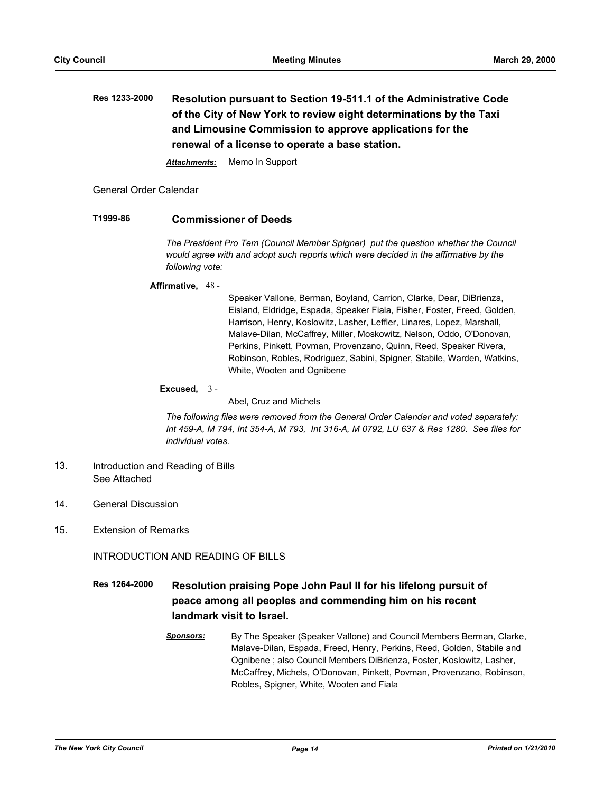**Res 1233-2000 Resolution pursuant to Section 19-511.1 of the Administrative Code of the City of New York to review eight determinations by the Taxi and Limousine Commission to approve applications for the renewal of a license to operate a base station.**

*Attachments:* Memo In Support

General Order Calendar

## **T1999-86 Commissioner of Deeds**

*The President Pro Tem (Council Member Spigner) put the question whether the Council would agree with and adopt such reports which were decided in the affirmative by the following vote:*

#### **Affirmative,** 48 -

Speaker Vallone, Berman, Boyland, Carrion, Clarke, Dear, DiBrienza, Eisland, Eldridge, Espada, Speaker Fiala, Fisher, Foster, Freed, Golden, Harrison, Henry, Koslowitz, Lasher, Leffler, Linares, Lopez, Marshall, Malave-Dilan, McCaffrey, Miller, Moskowitz, Nelson, Oddo, O'Donovan, Perkins, Pinkett, Povman, Provenzano, Quinn, Reed, Speaker Rivera, Robinson, Robles, Rodriguez, Sabini, Spigner, Stabile, Warden, Watkins, White, Wooten and Ognibene

#### **Excused,** 3 -

Abel, Cruz and Michels

*The following files were removed from the General Order Calendar and voted separately: Int 459-A, M 794, Int 354-A, M 793, Int 316-A, M 0792, LU 637 & Res 1280. See files for individual votes.*

- Introduction and Reading of Bills See Attached 13.
- 14. General Discussion
- 15. Extension of Remarks

INTRODUCTION AND READING OF BILLS

- **Res 1264-2000 Resolution praising Pope John Paul II for his lifelong pursuit of peace among all peoples and commending him on his recent landmark visit to Israel.**
	- *Sponsors:* By The Speaker (Speaker Vallone) and Council Members Berman, Clarke, Malave-Dilan, Espada, Freed, Henry, Perkins, Reed, Golden, Stabile and Ognibene ; also Council Members DiBrienza, Foster, Koslowitz, Lasher, McCaffrey, Michels, O'Donovan, Pinkett, Povman, Provenzano, Robinson, Robles, Spigner, White, Wooten and Fiala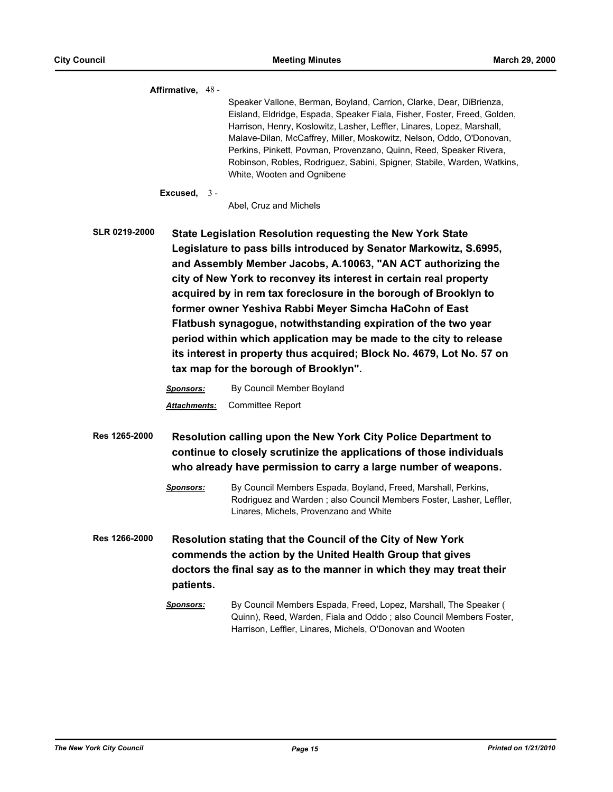**Affirmative,** 48 - Speaker Vallone, Berman, Boyland, Carrion, Clarke, Dear, DiBrienza, Eisland, Eldridge, Espada, Speaker Fiala, Fisher, Foster, Freed, Golden, Harrison, Henry, Koslowitz, Lasher, Leffler, Linares, Lopez, Marshall, Malave-Dilan, McCaffrey, Miller, Moskowitz, Nelson, Oddo, O'Donovan, Perkins, Pinkett, Povman, Provenzano, Quinn, Reed, Speaker Rivera, Robinson, Robles, Rodriguez, Sabini, Spigner, Stabile, Warden, Watkins, White, Wooten and Ognibene

**Excused,** 3 -

Abel, Cruz and Michels

**SLR 0219-2000 State Legislation Resolution requesting the New York State Legislature to pass bills introduced by Senator Markowitz, S.6995, and Assembly Member Jacobs, A.10063, "AN ACT authorizing the city of New York to reconvey its interest in certain real property acquired by in rem tax foreclosure in the borough of Brooklyn to former owner Yeshiva Rabbi Meyer Simcha HaCohn of East Flatbush synagogue, notwithstanding expiration of the two year period within which application may be made to the city to release its interest in property thus acquired; Block No. 4679, Lot No. 57 on tax map for the borough of Brooklyn".**

> *Sponsors:* By Council Member Boyland *Attachments:* Committee Report

- **Res 1265-2000 Resolution calling upon the New York City Police Department to continue to closely scrutinize the applications of those individuals who already have permission to carry a large number of weapons.**
	- *Sponsors:* By Council Members Espada, Boyland, Freed, Marshall, Perkins, Rodriguez and Warden ; also Council Members Foster, Lasher, Leffler, Linares, Michels, Provenzano and White
- **Res 1266-2000 Resolution stating that the Council of the City of New York commends the action by the United Health Group that gives doctors the final say as to the manner in which they may treat their patients.**
	- *Sponsors:* By Council Members Espada, Freed, Lopez, Marshall, The Speaker ( Quinn), Reed, Warden, Fiala and Oddo ; also Council Members Foster, Harrison, Leffler, Linares, Michels, O'Donovan and Wooten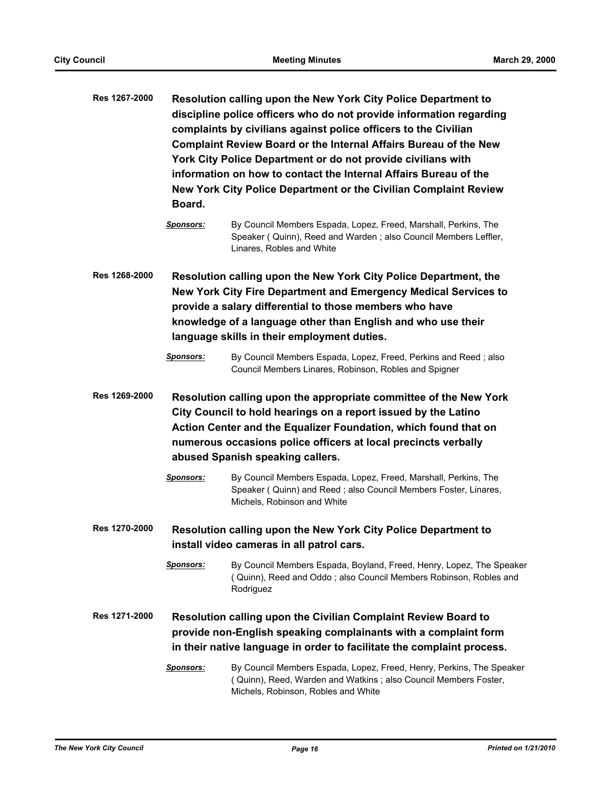- **Res 1267-2000 Resolution calling upon the New York City Police Department to discipline police officers who do not provide information regarding complaints by civilians against police officers to the Civilian Complaint Review Board or the Internal Affairs Bureau of the New York City Police Department or do not provide civilians with information on how to contact the Internal Affairs Bureau of the New York City Police Department or the Civilian Complaint Review Board.**
	- *Sponsors:* By Council Members Espada, Lopez, Freed, Marshall, Perkins, The Speaker ( Quinn), Reed and Warden ; also Council Members Leffler, Linares, Robles and White
- **Res 1268-2000 Resolution calling upon the New York City Police Department, the New York City Fire Department and Emergency Medical Services to provide a salary differential to those members who have knowledge of a language other than English and who use their language skills in their employment duties.**

*Sponsors:* By Council Members Espada, Lopez, Freed, Perkins and Reed ; also Council Members Linares, Robinson, Robles and Spigner

- **Res 1269-2000 Resolution calling upon the appropriate committee of the New York City Council to hold hearings on a report issued by the Latino Action Center and the Equalizer Foundation, which found that on numerous occasions police officers at local precincts verbally abused Spanish speaking callers.**
	- *Sponsors:* By Council Members Espada, Lopez, Freed, Marshall, Perkins, The Speaker ( Quinn) and Reed ; also Council Members Foster, Linares, Michels, Robinson and White
- **Res 1270-2000 Resolution calling upon the New York City Police Department to install video cameras in all patrol cars.**
	- *Sponsors:* By Council Members Espada, Boyland, Freed, Henry, Lopez, The Speaker ( Quinn), Reed and Oddo ; also Council Members Robinson, Robles and Rodriguez
- **Res 1271-2000 Resolution calling upon the Civilian Complaint Review Board to provide non-English speaking complainants with a complaint form in their native language in order to facilitate the complaint process.**
	- *Sponsors:* By Council Members Espada, Lopez, Freed, Henry, Perkins, The Speaker ( Quinn), Reed, Warden and Watkins ; also Council Members Foster, Michels, Robinson, Robles and White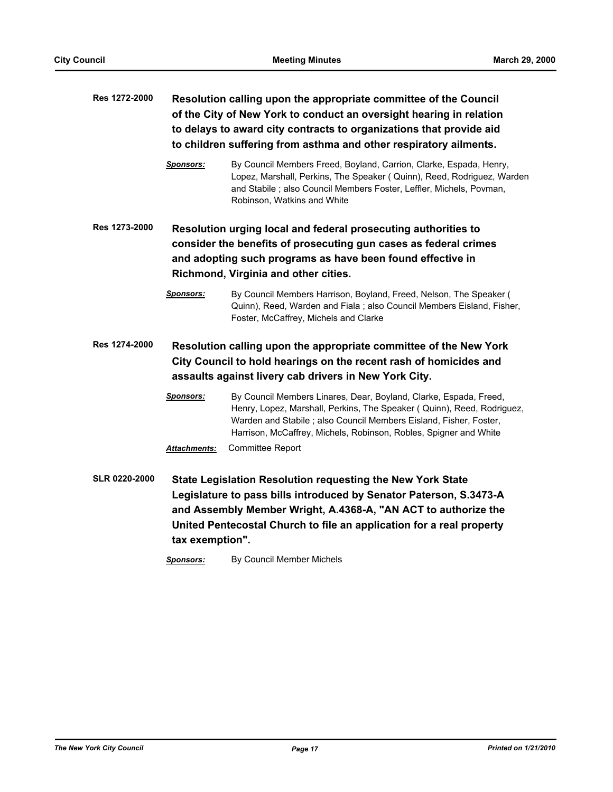| Res 1272-2000        | Resolution calling upon the appropriate committee of the Council<br>of the City of New York to conduct an oversight hearing in relation<br>to delays to award city contracts to organizations that provide aid<br>to children suffering from asthma and other respiratory ailments. |                                                                                                                                                                                                                                                                                       |  |  |
|----------------------|-------------------------------------------------------------------------------------------------------------------------------------------------------------------------------------------------------------------------------------------------------------------------------------|---------------------------------------------------------------------------------------------------------------------------------------------------------------------------------------------------------------------------------------------------------------------------------------|--|--|
|                      | Sponsors:                                                                                                                                                                                                                                                                           | By Council Members Freed, Boyland, Carrion, Clarke, Espada, Henry,<br>Lopez, Marshall, Perkins, The Speaker (Quinn), Reed, Rodriguez, Warden<br>and Stabile; also Council Members Foster, Leffler, Michels, Povman,<br>Robinson, Watkins and White                                    |  |  |
| Res 1273-2000        | Resolution urging local and federal prosecuting authorities to<br>consider the benefits of prosecuting gun cases as federal crimes<br>and adopting such programs as have been found effective in<br>Richmond, Virginia and other cities.                                            |                                                                                                                                                                                                                                                                                       |  |  |
|                      | <b>Sponsors:</b>                                                                                                                                                                                                                                                                    | By Council Members Harrison, Boyland, Freed, Nelson, The Speaker (<br>Quinn), Reed, Warden and Fiala; also Council Members Eisland, Fisher,<br>Foster, McCaffrey, Michels and Clarke                                                                                                  |  |  |
| Res 1274-2000        | Resolution calling upon the appropriate committee of the New York<br>City Council to hold hearings on the recent rash of homicides and<br>assaults against livery cab drivers in New York City.                                                                                     |                                                                                                                                                                                                                                                                                       |  |  |
|                      | <b>Sponsors:</b>                                                                                                                                                                                                                                                                    | By Council Members Linares, Dear, Boyland, Clarke, Espada, Freed,<br>Henry, Lopez, Marshall, Perkins, The Speaker (Quinn), Reed, Rodriguez,<br>Warden and Stabile; also Council Members Eisland, Fisher, Foster,<br>Harrison, McCaffrey, Michels, Robinson, Robles, Spigner and White |  |  |
|                      | <b>Attachments:</b>                                                                                                                                                                                                                                                                 | Committee Report                                                                                                                                                                                                                                                                      |  |  |
| <b>SLR 0220-2000</b> | tax exemption".                                                                                                                                                                                                                                                                     | State Legislation Resolution requesting the New York State<br>Legislature to pass bills introduced by Senator Paterson, S.3473-A<br>and Assembly Member Wright, A.4368-A, "AN ACT to authorize the<br>United Pentecostal Church to file an application for a real property            |  |  |

*Sponsors:* By Council Member Michels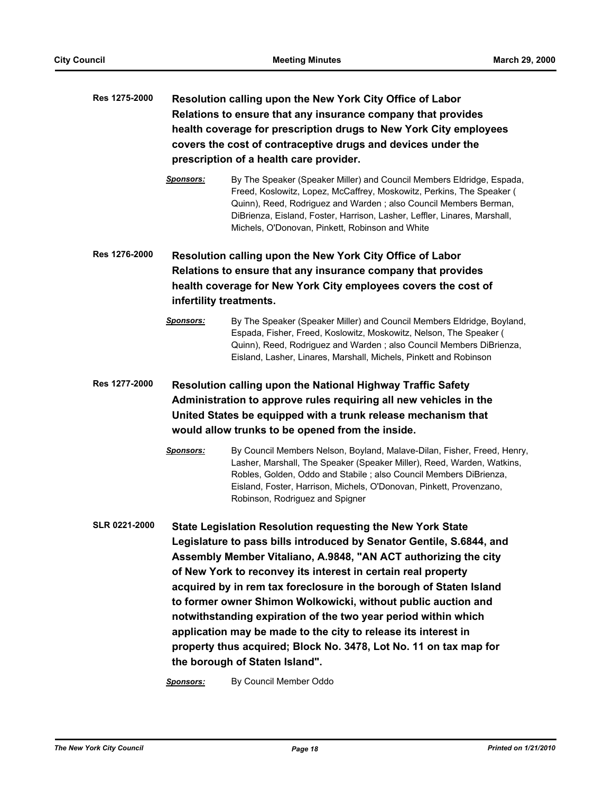# **Res 1275-2000 Resolution calling upon the New York City Office of Labor Relations to ensure that any insurance company that provides health coverage for prescription drugs to New York City employees covers the cost of contraceptive drugs and devices under the prescription of a health care provider.**

*Sponsors:* By The Speaker (Speaker Miller) and Council Members Eldridge, Espada, Freed, Koslowitz, Lopez, McCaffrey, Moskowitz, Perkins, The Speaker ( Quinn), Reed, Rodriguez and Warden ; also Council Members Berman, DiBrienza, Eisland, Foster, Harrison, Lasher, Leffler, Linares, Marshall, Michels, O'Donovan, Pinkett, Robinson and White

**Res 1276-2000 Resolution calling upon the New York City Office of Labor Relations to ensure that any insurance company that provides health coverage for New York City employees covers the cost of infertility treatments.**

> *Sponsors:* By The Speaker (Speaker Miller) and Council Members Eldridge, Boyland, Espada, Fisher, Freed, Koslowitz, Moskowitz, Nelson, The Speaker ( Quinn), Reed, Rodriguez and Warden ; also Council Members DiBrienza, Eisland, Lasher, Linares, Marshall, Michels, Pinkett and Robinson

## **Res 1277-2000 Resolution calling upon the National Highway Traffic Safety Administration to approve rules requiring all new vehicles in the United States be equipped with a trunk release mechanism that would allow trunks to be opened from the inside.**

- *Sponsors:* By Council Members Nelson, Boyland, Malave-Dilan, Fisher, Freed, Henry, Lasher, Marshall, The Speaker (Speaker Miller), Reed, Warden, Watkins, Robles, Golden, Oddo and Stabile ; also Council Members DiBrienza, Eisland, Foster, Harrison, Michels, O'Donovan, Pinkett, Provenzano, Robinson, Rodriguez and Spigner
- **SLR 0221-2000 State Legislation Resolution requesting the New York State Legislature to pass bills introduced by Senator Gentile, S.6844, and Assembly Member Vitaliano, A.9848, "AN ACT authorizing the city of New York to reconvey its interest in certain real property acquired by in rem tax foreclosure in the borough of Staten Island to former owner Shimon Wolkowicki, without public auction and notwithstanding expiration of the two year period within which application may be made to the city to release its interest in property thus acquired; Block No. 3478, Lot No. 11 on tax map for the borough of Staten Island".**

*Sponsors:* By Council Member Oddo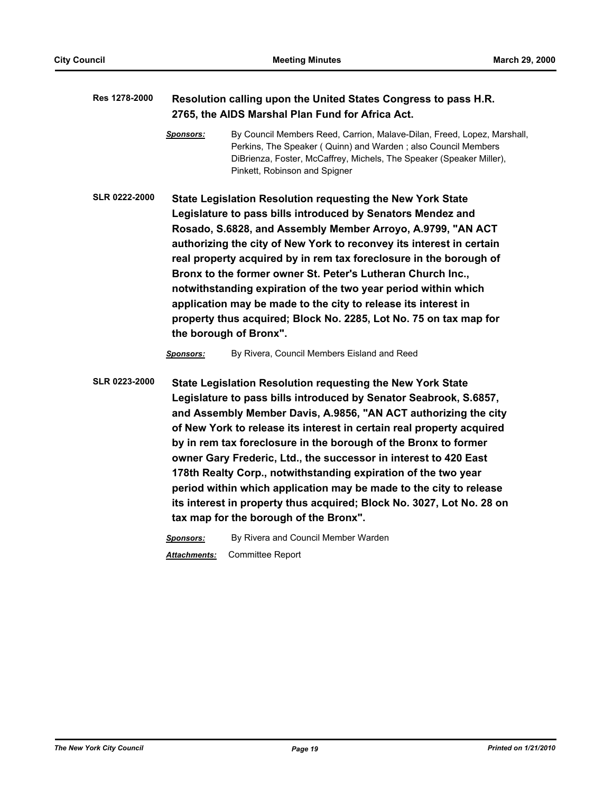## **Res 1278-2000 Resolution calling upon the United States Congress to pass H.R. 2765, the AIDS Marshal Plan Fund for Africa Act.**

*Sponsors:* By Council Members Reed, Carrion, Malave-Dilan, Freed, Lopez, Marshall, Perkins, The Speaker ( Quinn) and Warden ; also Council Members DiBrienza, Foster, McCaffrey, Michels, The Speaker (Speaker Miller), Pinkett, Robinson and Spigner

**SLR 0222-2000 State Legislation Resolution requesting the New York State Legislature to pass bills introduced by Senators Mendez and Rosado, S.6828, and Assembly Member Arroyo, A.9799, "AN ACT authorizing the city of New York to reconvey its interest in certain real property acquired by in rem tax foreclosure in the borough of Bronx to the former owner St. Peter's Lutheran Church Inc., notwithstanding expiration of the two year period within which application may be made to the city to release its interest in property thus acquired; Block No. 2285, Lot No. 75 on tax map for the borough of Bronx".**

*Sponsors:* By Rivera, Council Members Eisland and Reed

**SLR 0223-2000 State Legislation Resolution requesting the New York State Legislature to pass bills introduced by Senator Seabrook, S.6857, and Assembly Member Davis, A.9856, "AN ACT authorizing the city of New York to release its interest in certain real property acquired by in rem tax foreclosure in the borough of the Bronx to former owner Gary Frederic, Ltd., the successor in interest to 420 East 178th Realty Corp., notwithstanding expiration of the two year period within which application may be made to the city to release its interest in property thus acquired; Block No. 3027, Lot No. 28 on tax map for the borough of the Bronx".**

*Sponsors:* By Rivera and Council Member Warden

*Attachments:* Committee Report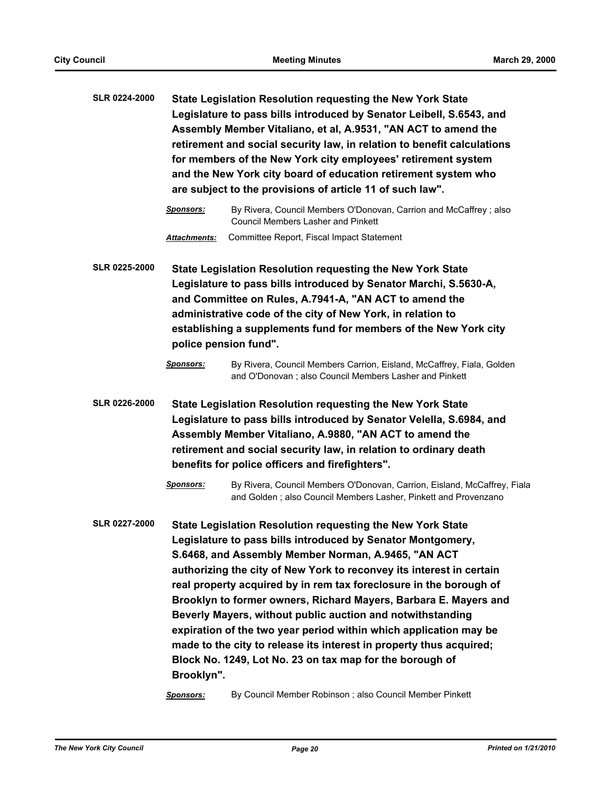- **SLR 0224-2000 State Legislation Resolution requesting the New York State Legislature to pass bills introduced by Senator Leibell, S.6543, and Assembly Member Vitaliano, et al, A.9531, "AN ACT to amend the retirement and social security law, in relation to benefit calculations for members of the New York city employees' retirement system and the New York city board of education retirement system who are subject to the provisions of article 11 of such law".**
	- *Sponsors:* By Rivera, Council Members O'Donovan, Carrion and McCaffrey ; also Council Members Lasher and Pinkett *Attachments:* Committee Report, Fiscal Impact Statement
- **SLR 0225-2000 State Legislation Resolution requesting the New York State Legislature to pass bills introduced by Senator Marchi, S.5630-A, and Committee on Rules, A.7941-A, "AN ACT to amend the administrative code of the city of New York, in relation to establishing a supplements fund for members of the New York city police pension fund".**

*Sponsors:* By Rivera, Council Members Carrion, Eisland, McCaffrey, Fiala, Golden and O'Donovan ; also Council Members Lasher and Pinkett

**SLR 0226-2000 State Legislation Resolution requesting the New York State Legislature to pass bills introduced by Senator Velella, S.6984, and Assembly Member Vitaliano, A.9880, "AN ACT to amend the retirement and social security law, in relation to ordinary death benefits for police officers and firefighters".**

> *Sponsors:* By Rivera, Council Members O'Donovan, Carrion, Eisland, McCaffrey, Fiala and Golden ; also Council Members Lasher, Pinkett and Provenzano

**SLR 0227-2000 State Legislation Resolution requesting the New York State Legislature to pass bills introduced by Senator Montgomery, S.6468, and Assembly Member Norman, A.9465, "AN ACT authorizing the city of New York to reconvey its interest in certain real property acquired by in rem tax foreclosure in the borough of Brooklyn to former owners, Richard Mayers, Barbara E. Mayers and Beverly Mayers, without public auction and notwithstanding expiration of the two year period within which application may be made to the city to release its interest in property thus acquired; Block No. 1249, Lot No. 23 on tax map for the borough of Brooklyn".**

*Sponsors:* By Council Member Robinson ; also Council Member Pinkett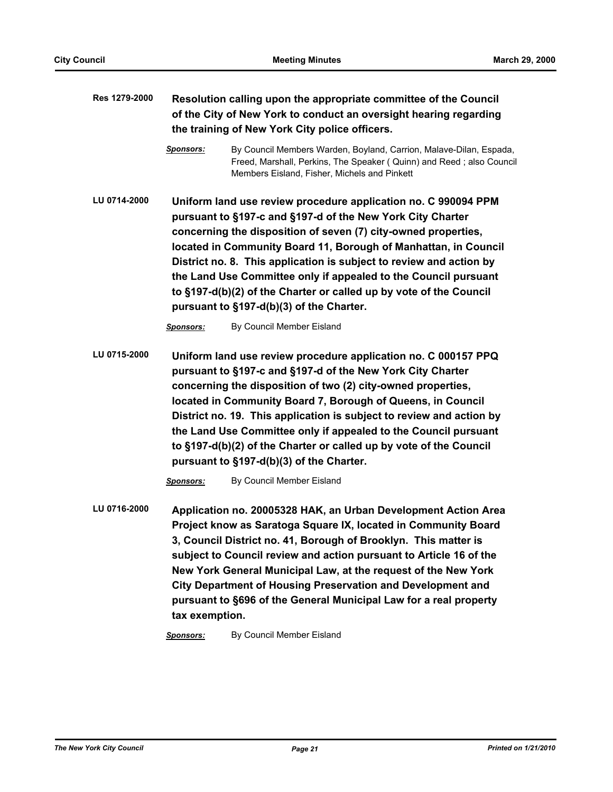| Res 1279-2000 | Resolution calling upon the appropriate committee of the Council<br>of the City of New York to conduct an oversight hearing regarding<br>the training of New York City police officers.                                                                                                                                                                                                                                                                                                                                       |                                                                                                                                                                                                                                                                                                                                                                                                                                                                                                                          |  |  |
|---------------|-------------------------------------------------------------------------------------------------------------------------------------------------------------------------------------------------------------------------------------------------------------------------------------------------------------------------------------------------------------------------------------------------------------------------------------------------------------------------------------------------------------------------------|--------------------------------------------------------------------------------------------------------------------------------------------------------------------------------------------------------------------------------------------------------------------------------------------------------------------------------------------------------------------------------------------------------------------------------------------------------------------------------------------------------------------------|--|--|
|               | <b>Sponsors:</b>                                                                                                                                                                                                                                                                                                                                                                                                                                                                                                              | By Council Members Warden, Boyland, Carrion, Malave-Dilan, Espada,<br>Freed, Marshall, Perkins, The Speaker (Quinn) and Reed; also Council<br>Members Eisland, Fisher, Michels and Pinkett                                                                                                                                                                                                                                                                                                                               |  |  |
| LU 0714-2000  | Uniform land use review procedure application no. C 990094 PPM<br>pursuant to §197-c and §197-d of the New York City Charter<br>concerning the disposition of seven (7) city-owned properties,<br>located in Community Board 11, Borough of Manhattan, in Council<br>District no. 8. This application is subject to review and action by<br>the Land Use Committee only if appealed to the Council pursuant<br>to §197-d(b)(2) of the Charter or called up by vote of the Council<br>pursuant to §197-d(b)(3) of the Charter. |                                                                                                                                                                                                                                                                                                                                                                                                                                                                                                                          |  |  |
|               | <b>Sponsors:</b>                                                                                                                                                                                                                                                                                                                                                                                                                                                                                                              | By Council Member Eisland                                                                                                                                                                                                                                                                                                                                                                                                                                                                                                |  |  |
| LU 0715-2000  |                                                                                                                                                                                                                                                                                                                                                                                                                                                                                                                               | Uniform land use review procedure application no. C 000157 PPQ<br>pursuant to §197-c and §197-d of the New York City Charter<br>concerning the disposition of two (2) city-owned properties,<br>located in Community Board 7, Borough of Queens, in Council<br>District no. 19. This application is subject to review and action by<br>the Land Use Committee only if appealed to the Council pursuant<br>to §197-d(b)(2) of the Charter or called up by vote of the Council<br>pursuant to §197-d(b)(3) of the Charter. |  |  |
|               | <b>Sponsors:</b>                                                                                                                                                                                                                                                                                                                                                                                                                                                                                                              | By Council Member Eisland                                                                                                                                                                                                                                                                                                                                                                                                                                                                                                |  |  |
| LU 0716-2000  | tax exemption.                                                                                                                                                                                                                                                                                                                                                                                                                                                                                                                | Application no. 20005328 HAK, an Urban Development Action Area<br>Project know as Saratoga Square IX, located in Community Board<br>3, Council District no. 41, Borough of Brooklyn. This matter is<br>subject to Council review and action pursuant to Article 16 of the<br>New York General Municipal Law, at the request of the New York<br><b>City Department of Housing Preservation and Development and</b><br>pursuant to §696 of the General Municipal Law for a real property                                   |  |  |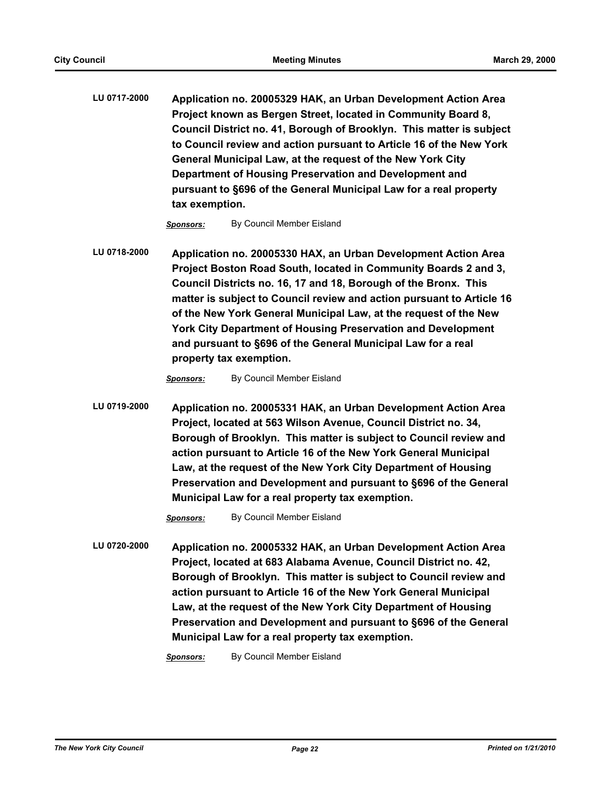**LU 0717-2000 Application no. 20005329 HAK, an Urban Development Action Area Project known as Bergen Street, located in Community Board 8, Council District no. 41, Borough of Brooklyn. This matter is subject to Council review and action pursuant to Article 16 of the New York General Municipal Law, at the request of the New York City Department of Housing Preservation and Development and pursuant to §696 of the General Municipal Law for a real property tax exemption.**

*Sponsors:* By Council Member Eisland

**LU 0718-2000 Application no. 20005330 HAX, an Urban Development Action Area Project Boston Road South, located in Community Boards 2 and 3, Council Districts no. 16, 17 and 18, Borough of the Bronx. This matter is subject to Council review and action pursuant to Article 16 of the New York General Municipal Law, at the request of the New York City Department of Housing Preservation and Development and pursuant to §696 of the General Municipal Law for a real property tax exemption.**

*Sponsors:* By Council Member Eisland

**LU 0719-2000 Application no. 20005331 HAK, an Urban Development Action Area Project, located at 563 Wilson Avenue, Council District no. 34, Borough of Brooklyn. This matter is subject to Council review and action pursuant to Article 16 of the New York General Municipal Law, at the request of the New York City Department of Housing Preservation and Development and pursuant to §696 of the General Municipal Law for a real property tax exemption.**

*Sponsors:* By Council Member Eisland

**LU 0720-2000 Application no. 20005332 HAK, an Urban Development Action Area Project, located at 683 Alabama Avenue, Council District no. 42, Borough of Brooklyn. This matter is subject to Council review and action pursuant to Article 16 of the New York General Municipal Law, at the request of the New York City Department of Housing Preservation and Development and pursuant to §696 of the General Municipal Law for a real property tax exemption.**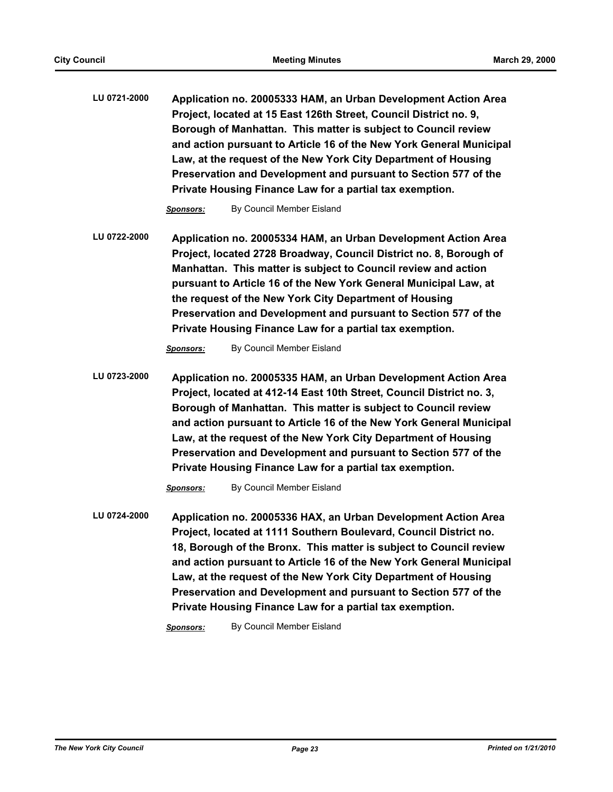**LU 0721-2000 Application no. 20005333 HAM, an Urban Development Action Area Project, located at 15 East 126th Street, Council District no. 9, Borough of Manhattan. This matter is subject to Council review and action pursuant to Article 16 of the New York General Municipal Law, at the request of the New York City Department of Housing Preservation and Development and pursuant to Section 577 of the Private Housing Finance Law for a partial tax exemption.**

*Sponsors:* By Council Member Eisland

**LU 0722-2000 Application no. 20005334 HAM, an Urban Development Action Area Project, located 2728 Broadway, Council District no. 8, Borough of Manhattan. This matter is subject to Council review and action pursuant to Article 16 of the New York General Municipal Law, at the request of the New York City Department of Housing Preservation and Development and pursuant to Section 577 of the Private Housing Finance Law for a partial tax exemption.**

*Sponsors:* By Council Member Eisland

**LU 0723-2000 Application no. 20005335 HAM, an Urban Development Action Area Project, located at 412-14 East 10th Street, Council District no. 3, Borough of Manhattan. This matter is subject to Council review and action pursuant to Article 16 of the New York General Municipal Law, at the request of the New York City Department of Housing Preservation and Development and pursuant to Section 577 of the Private Housing Finance Law for a partial tax exemption.**

*Sponsors:* By Council Member Eisland

**LU 0724-2000 Application no. 20005336 HAX, an Urban Development Action Area Project, located at 1111 Southern Boulevard, Council District no. 18, Borough of the Bronx. This matter is subject to Council review and action pursuant to Article 16 of the New York General Municipal Law, at the request of the New York City Department of Housing Preservation and Development and pursuant to Section 577 of the Private Housing Finance Law for a partial tax exemption.**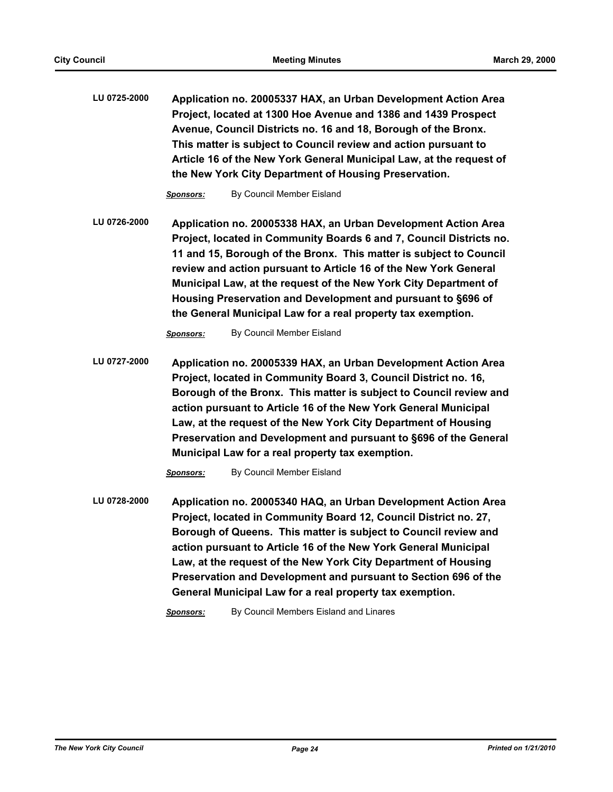**LU 0725-2000 Application no. 20005337 HAX, an Urban Development Action Area Project, located at 1300 Hoe Avenue and 1386 and 1439 Prospect Avenue, Council Districts no. 16 and 18, Borough of the Bronx. This matter is subject to Council review and action pursuant to Article 16 of the New York General Municipal Law, at the request of the New York City Department of Housing Preservation.**

*Sponsors:* By Council Member Eisland

**LU 0726-2000 Application no. 20005338 HAX, an Urban Development Action Area Project, located in Community Boards 6 and 7, Council Districts no. 11 and 15, Borough of the Bronx. This matter is subject to Council review and action pursuant to Article 16 of the New York General Municipal Law, at the request of the New York City Department of Housing Preservation and Development and pursuant to §696 of the General Municipal Law for a real property tax exemption.**

*Sponsors:* By Council Member Eisland

**LU 0727-2000 Application no. 20005339 HAX, an Urban Development Action Area Project, located in Community Board 3, Council District no. 16, Borough of the Bronx. This matter is subject to Council review and action pursuant to Article 16 of the New York General Municipal Law, at the request of the New York City Department of Housing Preservation and Development and pursuant to §696 of the General Municipal Law for a real property tax exemption.**

*Sponsors:* By Council Member Eisland

**LU 0728-2000 Application no. 20005340 HAQ, an Urban Development Action Area Project, located in Community Board 12, Council District no. 27, Borough of Queens. This matter is subject to Council review and action pursuant to Article 16 of the New York General Municipal Law, at the request of the New York City Department of Housing Preservation and Development and pursuant to Section 696 of the General Municipal Law for a real property tax exemption.**

*Sponsors:* By Council Members Eisland and Linares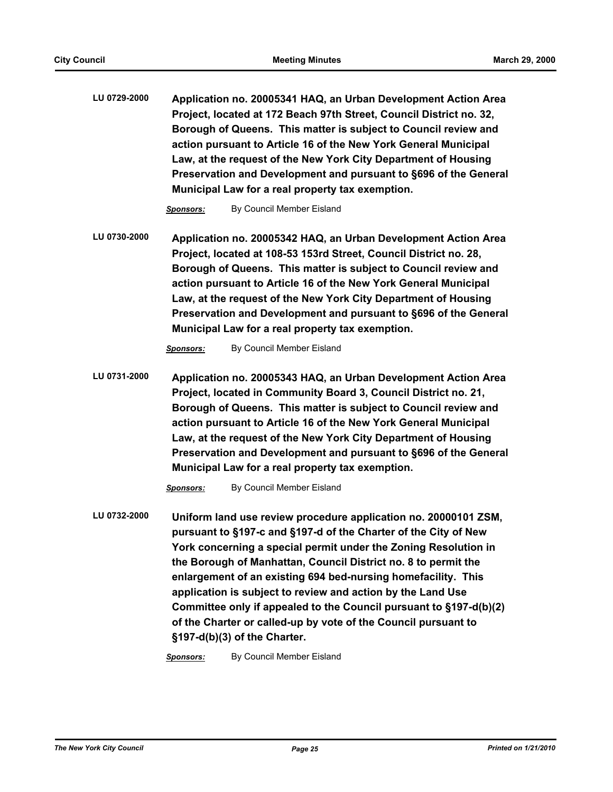**LU 0729-2000 Application no. 20005341 HAQ, an Urban Development Action Area Project, located at 172 Beach 97th Street, Council District no. 32, Borough of Queens. This matter is subject to Council review and action pursuant to Article 16 of the New York General Municipal Law, at the request of the New York City Department of Housing Preservation and Development and pursuant to §696 of the General Municipal Law for a real property tax exemption.**

*Sponsors:* By Council Member Eisland

**LU 0730-2000 Application no. 20005342 HAQ, an Urban Development Action Area Project, located at 108-53 153rd Street, Council District no. 28, Borough of Queens. This matter is subject to Council review and action pursuant to Article 16 of the New York General Municipal Law, at the request of the New York City Department of Housing Preservation and Development and pursuant to §696 of the General Municipal Law for a real property tax exemption.**

*Sponsors:* By Council Member Eisland

**LU 0731-2000 Application no. 20005343 HAQ, an Urban Development Action Area Project, located in Community Board 3, Council District no. 21, Borough of Queens. This matter is subject to Council review and action pursuant to Article 16 of the New York General Municipal Law, at the request of the New York City Department of Housing Preservation and Development and pursuant to §696 of the General Municipal Law for a real property tax exemption.**

*Sponsors:* By Council Member Eisland

**LU 0732-2000 Uniform land use review procedure application no. 20000101 ZSM, pursuant to §197-c and §197-d of the Charter of the City of New York concerning a special permit under the Zoning Resolution in the Borough of Manhattan, Council District no. 8 to permit the enlargement of an existing 694 bed-nursing homefacility. This application is subject to review and action by the Land Use Committee only if appealed to the Council pursuant to §197-d(b)(2) of the Charter or called-up by vote of the Council pursuant to §197-d(b)(3) of the Charter.**